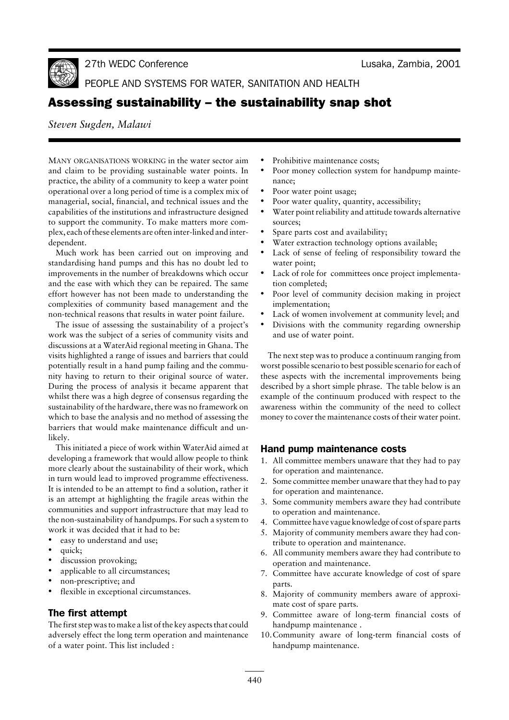Lusaka, Zambia, 2001



27th WEDC Co

PEOPLE AND SYSTEMS FOR WATER, SANITATION AND HEALTH

# Assessing sustainability – the sustainability snap shot

*Steven Sugden, Malawi*

MANY ORGANISATIONS WORKING in the water sector aim and claim to be providing sustainable water points. In practice, the ability of a community to keep a water point operational over a long period of time is a complex mix of managerial, social, financial, and technical issues and the capabilities of the institutions and infrastructure designed to support the community. To make matters more complex, each of these elements are often inter-linked and interdependent.

Much work has been carried out on improving and standardising hand pumps and this has no doubt led to improvements in the number of breakdowns which occur and the ease with which they can be repaired. The same effort however has not been made to understanding the complexities of community based management and the non-technical reasons that results in water point failure.

The issue of assessing the sustainability of a project's work was the subject of a series of community visits and discussions at a WaterAid regional meeting in Ghana. The visits highlighted a range of issues and barriers that could potentially result in a hand pump failing and the community having to return to their original source of water. During the process of analysis it became apparent that whilst there was a high degree of consensus regarding the sustainability of the hardware, there was no framework on which to base the analysis and no method of assessing the barriers that would make maintenance difficult and unlikely.

This initiated a piece of work within WaterAid aimed at developing a framework that would allow people to think more clearly about the sustainability of their work, which in turn would lead to improved programme effectiveness. It is intended to be an attempt to find a solution, rather it is an attempt at highlighting the fragile areas within the communities and support infrastructure that may lead to the non-sustainability of handpumps. For such a system to work it was decided that it had to be:

- easy to understand and use;
- quick;
- discussion provoking;
- applicable to all circumstances;
- non-prescriptive; and
- flexible in exceptional circumstances.

# The first attempt

The first step was to make a list of the key aspects that could adversely effect the long term operation and maintenance of a water point. This list included :

- Prohibitive maintenance costs;
- Poor money collection system for handpump maintenance;
- Poor water point usage;
- Poor water quality, quantity, accessibility;
- Water point reliability and attitude towards alternative sources;
- Spare parts cost and availability;
- Water extraction technology options available;
- Lack of sense of feeling of responsibility toward the water point;
- Lack of role for committees once project implementation completed;
- Poor level of community decision making in project implementation;
- Lack of women involvement at community level; and
- Divisions with the community regarding ownership and use of water point.

The next step was to produce a continuum ranging from worst possible scenario to best possible scenario for each of these aspects with the incremental improvements being described by a short simple phrase. The table below is an example of the continuum produced with respect to the awareness within the community of the need to collect money to cover the maintenance costs of their water point.

# Hand pump maintenance costs

- 1. All committee members unaware that they had to pay for operation and maintenance.
- 2. Some committee member unaware that they had to pay for operation and maintenance.
- 3. Some community members aware they had contribute to operation and maintenance.
- 4. Committee have vague knowledge of cost of spare parts
- 5. Majority of community members aware they had contribute to operation and maintenance.
- 6. All community members aware they had contribute to operation and maintenance.
- 7. Committee have accurate knowledge of cost of spare parts.
- 8. Majority of community members aware of approximate cost of spare parts.
- 9. Committee aware of long-term financial costs of handpump maintenance .
- 10.Community aware of long-term financial costs of handpump maintenance.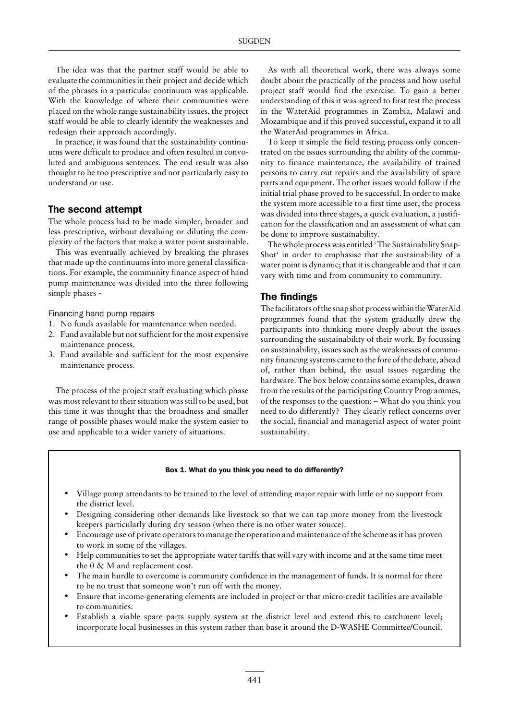The idea was that the partner staff would be able to evaluate the communities in their project and decide which of the phrases in a particular continuum was applicable. With the knowledge of where their communities were placed on the whole range sustainability issues, the project staff would be able to clearly identify the weaknesses and redesign their approach accordingly.

In practice, it was found that the sustainability continuums were difficult to produce and often resulted in convoluted and ambiguous sentences. The end result was also thought to be too prescriptive and not particularly easy to understand or use.

# The second attempt

The whole process had to be made simpler, broader and less prescriptive, without devaluing or diluting the complexity of the factors that make a water point sustainable.

This was eventually achieved by breaking the phrases that made up the continuums into more general classifications. For example, the community finance aspect of hand pump maintenance was divided into the three following simple phases -

Financing hand pump repairs

- 1. No funds available for maintenance when needed.
- 2. Fund available but not sufficient for the most expensive maintenance process.
- 3. Fund available and sufficient for the most expensive maintenance process.

The process of the project staff evaluating which phase was most relevant to their situation was still to be used, but this time it was thought that the broadness and smaller range of possible phases would make the system easier to use and applicable to a wider variety of situations.

As with all theoretical work, there was always some doubt about the practically of the process and how useful project staff would find the exercise. To gain a better understanding of this it was agreed to first test the process in the WaterAid programmes in Zambia, Malawi and Mozambique and if this proved successful, expand it to all the WaterAid programmes in Africa.

To keep it simple the field testing process only concentrated on the issues surrounding the ability of the community to finance maintenance, the availability of trained persons to carry out repairs and the availability of spare parts and equipment. The other issues would follow if the initial trial phase proved to be successful. In order to make the system more accessible to a first time user, the process was divided into three stages, a quick evaluation, a justification for the classification and an assessment of what can be done to improve sustainability.

The whole process was entitled ' The Sustainability Snap-Shot' in order to emphasise that the sustainability of a water point is dynamic; that it is changeable and that it can vary with time and from community to community.

## The findings

The facilitators of the snap shot process within the WaterAid programmes found that the system gradually drew the participants into thinking more deeply about the issues surrounding the sustainability of their work. By focussing on sustainability, issues such as the weaknesses of community financing systems came to the fore of the debate, ahead of, rather than behind, the usual issues regarding the hardware. The box below contains some examples, drawn from the results of the participating Country Programmes, of the responses to the question: – What do you think you need to do differently? They clearly reflect concerns over the social, financial and managerial aspect of water point sustainability.

#### Box 1. What do you think you need to do differently?

- Village pump attendants to be trained to the level of attending major repair with little or no support from the district level.
- Designing considering other demands like livestock so that we can tap more money from the livestock keepers particularly during dry season (when there is no other water source).
- Encourage use of private operators to manage the operation and maintenance of the scheme as it has proven to work in some of the villages.
- Help communities to set the appropriate water tariffs that will vary with income and at the same time meet the 0 & M and replacement cost.
- The main hurdle to overcome is community confidence in the management of funds. It is normal for there to be no trust that someone won't run off with the money.
- Ensure that income-generating elements are included in project or that micro-credit facilities are available to communities.
- Establish a viable spare parts supply system at the district level and extend this to catchment level; incorporate local businesses in this system rather than base it around the D-WASHE Committee/Council.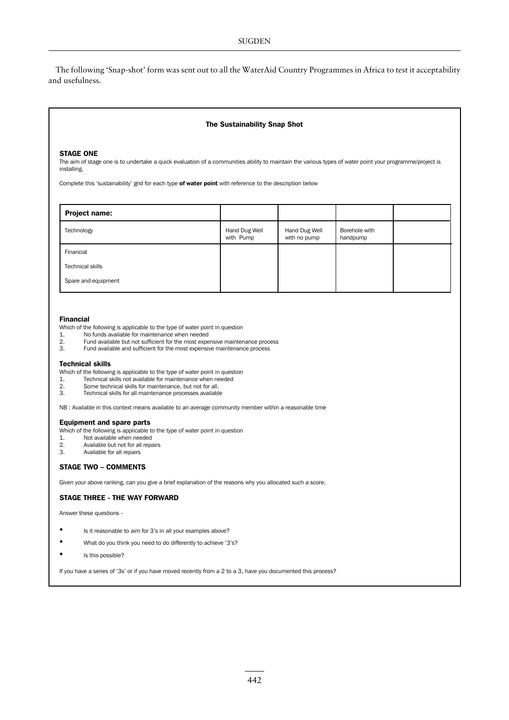The following 'Snap-shot' form was sent out to all the WaterAid Country Programmes in Africa to test it acceptability and usefulness.

#### The Sustainability Snap Shot

### **STAGE ONE**

The aim of stage one is to undertake a quick evaluation of a communities ability to maintain the various types of water point your programme/project is installing.

Complete this 'sustainability' grid for each type of water point with reference to the description below

| Project name:           |                            |                               |                           |  |
|-------------------------|----------------------------|-------------------------------|---------------------------|--|
| Technology              | Hand Dug Well<br>with Pump | Hand Dug Well<br>with no pump | Borehole with<br>handpump |  |
| Financial               |                            |                               |                           |  |
| <b>Technical skills</b> |                            |                               |                           |  |
| Spare and equipment     |                            |                               |                           |  |

#### **Financial**

- Which of the following is applicable to the type of water point in question<br>1. No funds available for maintenance when needed
- 
- $\overline{2}$ . Fund available but not sufficient for the most expensive maintenance process
- $\overline{3}$ . Fund available and sufficient for the most expensive maintenance process

#### **Technical skills**

- Which of the following is applicable to the type of water point in question
- $\overline{1}$ . Technical skills not available for maintenance when needed
- $2.$ Some technical skills for maintenance, but not for all.
- 3. Technical skills for all maintenance processes available

NB : Available in this context means available to an average community member within a reasonable time

#### **Equipment and spare parts**

- Which of the following is applicable to the type of water point in question
- Not available when needed  $\mathbf{1}$
- Available but not for all repairs  $\overline{2}$ .
- $\mathbf{R}$ Available for all repairs

### **STAGE TWO - COMMENTS**

Given your above ranking, can you give a brief explanation of the reasons why you allocated such a score.

### **STAGE THREE - THE WAY FORWARD**

Answer these questions -

- Is it reasonable to aim for 3's in all your examples above?
- What do you think you need to do differently to achieve '3's?
- $\overline{\phantom{a}}$ Is this possible?

If you have a series of '3s' or if you have moved recently from a 2 to a 3, have you documented this process?